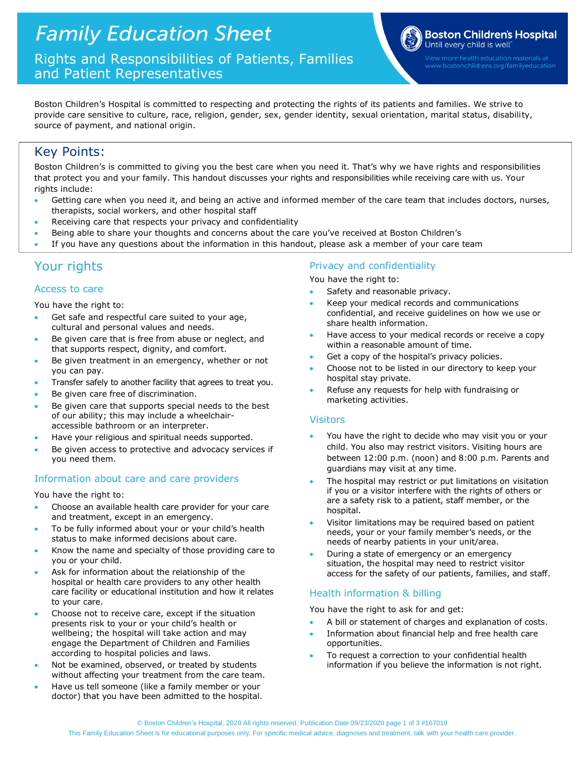Rights and Responsibilities of Patients, Families and Patient Representatives



www.bostonchildrens.org/familyeducation

Boston Children's Hospital is committed to respecting and protecting the rights of its patients and families. We strive to provide care sensitive to culture, race, religion, gender, sex, gender identity, sexual orientation, marital status, disability, source of payment, and national origin.

# Key Points:

Boston Children's is committed to giving you the best care when you need it. That's why we have rights and responsibilities that protect you and your family. This handout discusses your rights and responsibilities while receiving care with us. Your rights include:

- Getting care when you need it, and being an active and informed member of the care team that includes doctors, nurses, therapists, social workers, and other hospital staff
- Receiving care that respects your privacy and confidentiality
- Being able to share your thoughts and concerns about the care you've received at Boston Children's
- If you have any questions about the information in this handout, please ask a member of your care team

# Your rights

## Access to care

You have the right to:

- Get safe and respectful care suited to your age, cultural and personal values and needs.
- Be given care that is free from abuse or neglect, and that supports respect, dignity, and comfort.
- Be given treatment in an emergency, whether or not you can pay.
- Transfer safely to another facility that agrees to treat you.
- Be given care free of discrimination.
- Be given care that supports special needs to the best of our ability; this may include a wheelchairaccessible bathroom or an interpreter.
- Have your religious and spiritual needs supported.
- Be given access to protective and advocacy services if you need them.

## Information about care and care providers

You have the right to:

- Choose an available health care provider for your care and treatment, except in an emergency.
- To be fully informed about your or your child's health status to make informed decisions about care.
- Know the name and specialty of those providing care to you or your child.
- Ask for information about the relationship of the hospital or health care providers to any other health care facility or educational institution and how it relates to your care.
- Choose not to receive care, except if the situation presents risk to your or your child's health or wellbeing; the hospital will take action and may engage the Department of Children and Families according to hospital policies and laws.
- Not be examined, observed, or treated by students without affecting your treatment from the care team.
- Have us tell someone (like a family member or your doctor) that you have been admitted to the hospital.

## Privacy and confidentiality

You have the right to:

- Safety and reasonable privacy.
- Keep your medical records and communications confidential, and receive guidelines on how we use or share health information.
- Have access to your medical records or receive a copy within a reasonable amount of time.
- Get a copy of the hospital's privacy policies.
- Choose not to be listed in our directory to keep your hospital stay private.
- Refuse any requests for help with fundraising or marketing activities.

## Visitors

- You have the right to decide who may visit you or your child. You also may restrict visitors. Visiting hours are between 12:00 p.m. (noon) and 8:00 p.m. Parents and guardians may visit at any time.
- The hospital may restrict or put limitations on visitation if you or a visitor interfere with the rights of others or are a safety risk to a patient, staff member, or the hospital.
- Visitor limitations may be required based on patient needs, your or your family member's needs, or the needs of nearby patients in your unit/area.
- During a state of emergency or an emergency situation, the hospital may need to restrict visitor access for the safety of our patients, families, and staff.

## Health information & billing

You have the right to ask for and get:

- A bill or statement of charges and explanation of costs.
- Information about financial help and free health care opportunities.
- To request a correction to your confidential health information if you believe the information is not right.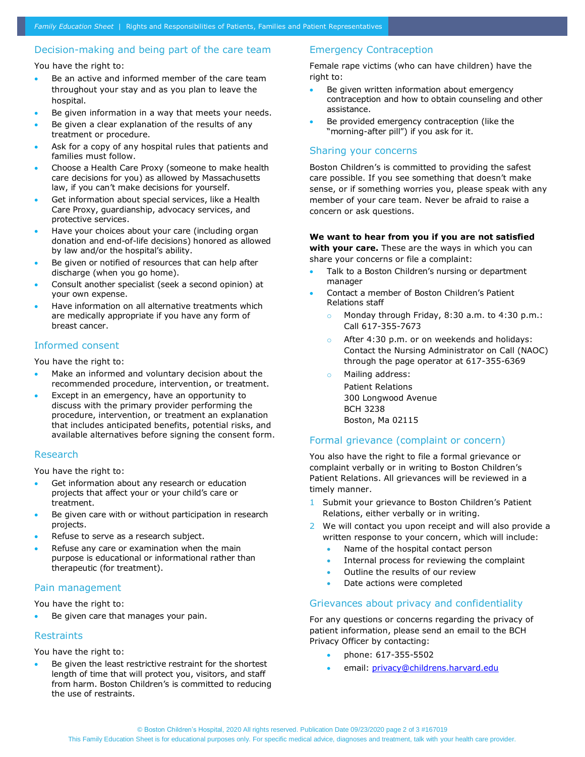## Decision-making and being part of the care team

You have the right to:

- Be an active and informed member of the care team throughout your stay and as you plan to leave the hospital.
- Be given information in a way that meets your needs.
- Be given a clear explanation of the results of any treatment or procedure.
- Ask for a copy of any hospital rules that patients and families must follow.
- Choose a Health Care Proxy (someone to make health care decisions for you) as allowed by Massachusetts law, if you can't make decisions for yourself.
- Get information about special services, like a Health Care Proxy, guardianship, advocacy services, and protective services.
- Have your choices about your care (including organ donation and end-of-life decisions) honored as allowed by law and/or the hospital's ability.
- Be given or notified of resources that can help after discharge (when you go home).
- Consult another specialist (seek a second opinion) at your own expense.
- Have information on all alternative treatments which are medically appropriate if you have any form of breast cancer.

### Informed consent

You have the right to:

- Make an informed and voluntary decision about the recommended procedure, intervention, or treatment.
- Except in an emergency, have an opportunity to discuss with the primary provider performing the procedure, intervention, or treatment an explanation that includes anticipated benefits, potential risks, and available alternatives before signing the consent form.

#### Research

You have the right to:

- Get information about any research or education projects that affect your or your child's care or treatment.
- Be given care with or without participation in research projects.
- Refuse to serve as a research subject.
- Refuse any care or examination when the main purpose is educational or informational rather than therapeutic (for treatment).

## Pain management

You have the right to:

Be given care that manages your pain.

#### **Restraints**

You have the right to:

Be given the least restrictive restraint for the shortest length of time that will protect you, visitors, and staff from harm. Boston Children's is committed to reducing the use of restraints.

## Emergency Contraception

Female rape victims (who can have children) have the right to:

- Be given written information about emergency contraception and how to obtain counseling and other assistance.
- Be provided emergency contraception (like the "morning-after pill") if you ask for it.

#### Sharing your concerns

Boston Children's is committed to providing the safest care possible. If you see something that doesn't make sense, or if something worries you, please speak with any member of your care team. Never be afraid to raise a concern or ask questions.

## **We want to hear from you if you are not satisfied**

**with your care.** These are the ways in which you can share your concerns or file a complaint:

- Talk to a Boston Children's nursing or department manager
- Contact a member of Boston Children's Patient Relations staff
	- o Monday through Friday, 8:30 a.m. to 4:30 p.m.: Call 617-355-7673
	- o After 4:30 p.m. or on weekends and holidays: Contact the Nursing Administrator on Call (NAOC) through the page operator at 617-355-6369
	- o Mailing address:

Patient Relations 300 Longwood Avenue BCH 3238 Boston, Ma 02115

#### Formal grievance (complaint or concern)

You also have the right to file a formal grievance or complaint verbally or in writing to Boston Children's Patient Relations. All grievances will be reviewed in a timely manner.

- 1 Submit your grievance to Boston Children's Patient Relations, either verbally or in writing.
- 2 We will contact you upon receipt and will also provide a written response to your concern, which will include:
	- Name of the hospital contact person
	- Internal process for reviewing the complaint
	- Outline the results of our review
	- Date actions were completed

#### Grievances about privacy and confidentiality

For any questions or concerns regarding the privacy of patient information, please send an email to the BCH Privacy Officer by contacting:

- phone: 617-355-5502
- email: [privacy@childrens.harvard.edu](mailto:privacy@childrens.harvard.edu)